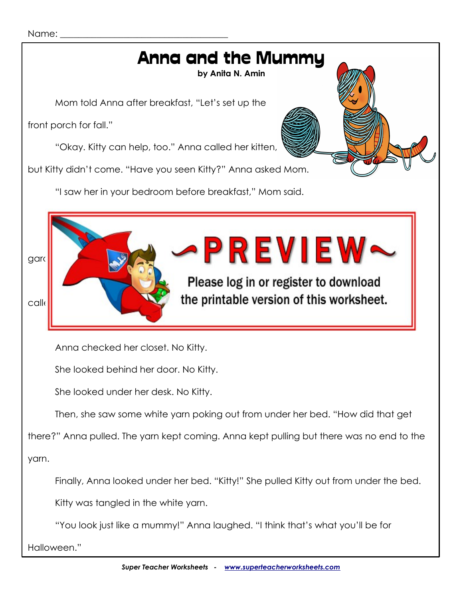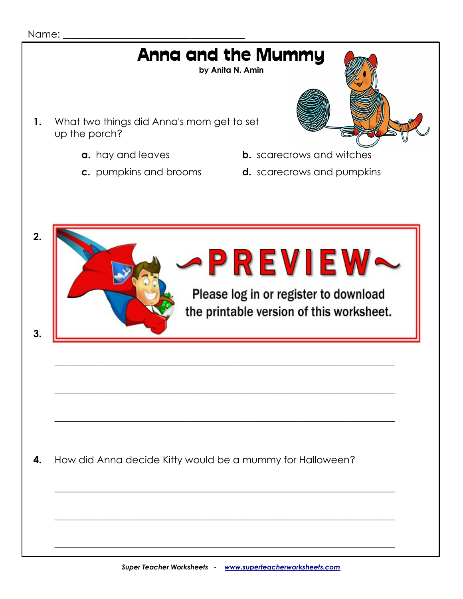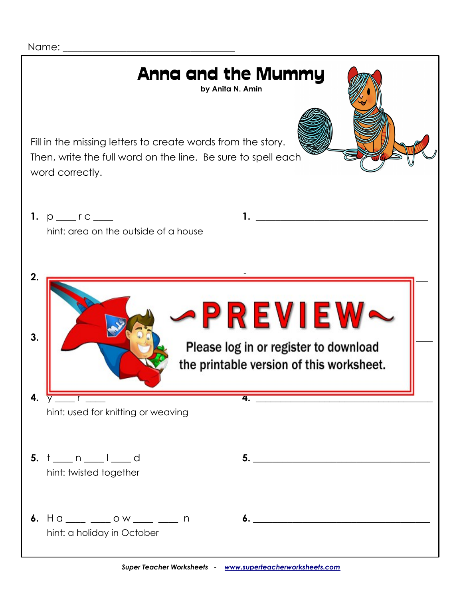Name:

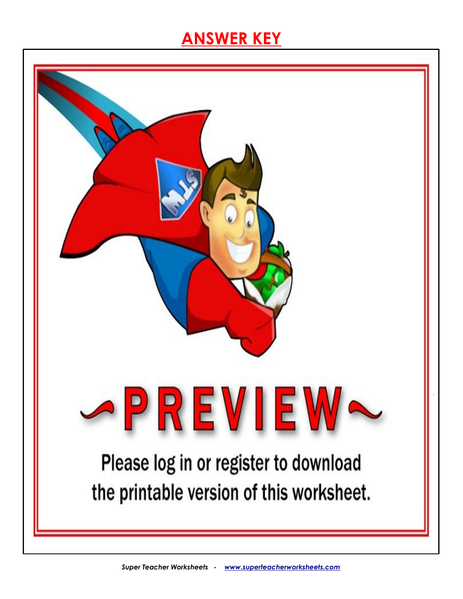## **ANSWER KEY**